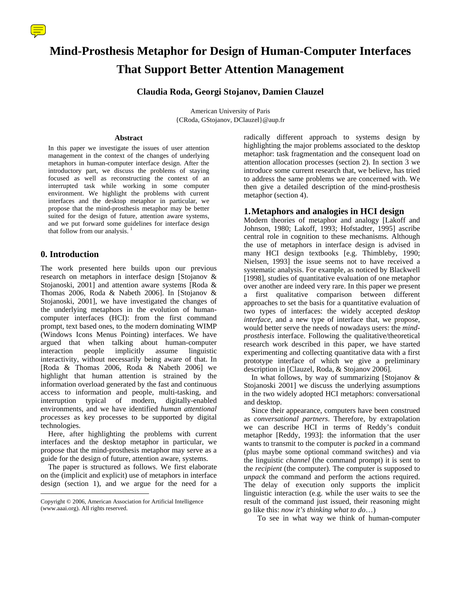# **Mind-Prosthesis Metaphor for Design of Human-Computer Interfaces That Support Better Attention Management**

# **Claudia Roda, Georgi Stojanov, Damien Clauzel**

American University of Paris {CRoda, GStojanov, DClauzel}@aup.fr

#### **Abstract**

In this paper we investigate the issues of user attention management in the context of the changes of underlying metaphors in human-computer interface design. After the introductory part, we discuss the problems of staying focused as well as reconstructing the context of an interrupted task while working in some computer environment. We highlight the problems with current interfaces and the desktop metaphor in particular, we propose that the mind-prosthesis metaphor may be better suited for the design of future, attention aware systems, and we put forward some guidelines for interface design that follow from our analysis.<sup>1</sup>

# **0. Introduction**

 $\overline{a}$ 

The work presented here builds upon our previous research on metaphors in interface design [Stojanov & Stojanoski, 2001] and attention aware systems [Roda & Thomas 2006, Roda & Nabeth 2006]. In [Stojanov & Stojanoski, 2001], we have investigated the changes of the underlying metaphors in the evolution of humancomputer interfaces (HCI): from the first command prompt, text based ones, to the modern dominating WIMP (Windows Icons Menus Pointing) interfaces. We have argued that when talking about human-computer interaction people implicitly assume linguistic interactivity, without necessarily being aware of that. In [Roda & Thomas 2006, Roda & Nabeth 2006] we highlight that human attention is strained by the information overload generated by the fast and continuous access to information and people, multi-tasking, and interruption typical of modern, digitally-enabled environments, and we have identified *human attentional processes* as key processes to be supported by digital technologies.

 Here, after highlighting the problems with current interfaces and the desktop metaphor in particular, we propose that the mind-prosthesis metaphor may serve as a guide for the design of future, attention aware, systems.

 The paper is structured as follows. We first elaborate on the (implicit and explicit) use of metaphors in interface design (section 1), and we argue for the need for a

radically different approach to systems design by highlighting the major problems associated to the desktop metaphor: task fragmentation and the consequent load on attention allocation processes (section 2). In section 3 we introduce some current research that, we believe, has tried to address the same problems we are concerned with. We then give a detailed description of the mind-prosthesis metaphor (section 4).

# **1. Metaphors and analogies in HCI design**

Modern theories of metaphor and analogy [Lakoff and Johnson, 1980; Lakoff, 1993; Hofstadter, 1995] ascribe central role in cognition to these mechanisms. Although the use of metaphors in interface design is advised in many HCI design textbooks [e.g. Thimbleby, 1990; Nielsen, 1993] the issue seems not to have received a systematic analysis. For example, as noticed by Blackwell [1998], studies of quantitative evaluation of one metaphor over another are indeed very rare. In this paper we present a first qualitative comparison between different approaches to set the basis for a quantitative evaluation of two types of interfaces: the widely accepted *desktop interface*, and a new type of interface that, we propose, would better serve the needs of nowadays users: the *mindprosthesis* interface. Following the qualitative/theoretical research work described in this paper, we have started experimenting and collecting quantitative data with a first prototype interface of which we give a preliminary description in [Clauzel, Roda, & Stojanov 2006].

In what follows, by way of summarizing [Stojanov  $\&$ Stojanoski 2001] we discuss the underlying assumptions in the two widely adopted HCI metaphors: conversational and desktop.

 Since their appearance, computers have been construed as *conversational partners*. Therefore, by extrapolation we can describe HCI in terms of Reddy's conduit metaphor [Reddy, 1993]: the information that the user wants to transmit to the computer is *packed* in a command (plus maybe some optional command switches) and via the linguistic *channel* (the command prompt) it is sent to the *recipient* (the computer). The computer is supposed to *unpack* the command and perform the actions required. The delay of execution only supports the implicit linguistic interaction (e.g. while the user waits to see the result of the command just issued, their reasoning might go like this: *now it's thinking what to do*…)

To see in what way we think of human-computer

<span id="page-0-0"></span>Copyright © 2006, American Association for Artificial Intelligence (www.aaai.org). All rights reserved.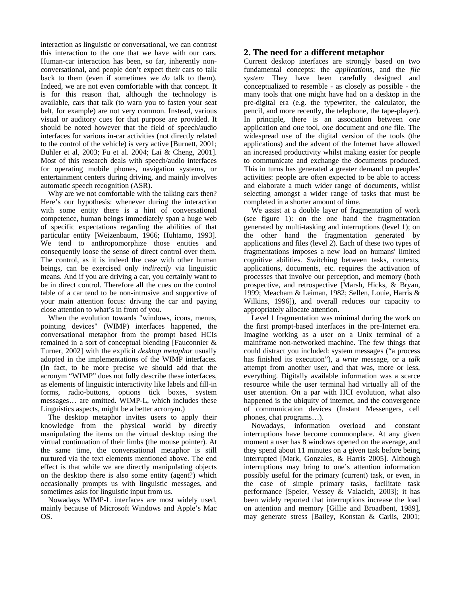interaction as linguistic or conversational, we can contrast this interaction to the one that we have with our cars. Human-car interaction has been, so far, inherently nonconversational, and people don't expect their cars to talk back to them (even if sometimes we *do* talk to them). Indeed, we are not even comfortable with that concept. It is for this reason that, although the technology is available, cars that talk (to warn you to fasten your seat belt, for example) are not very common. Instead, various visual or auditory cues for that purpose are provided. It should be noted however that the field of speech/audio interfaces for various in-car activities (not directly related to the control of the vehicle) is very active [Burnett, 2001; Buhler et al, 2003; Fu et al. 2004; Lai & Cheng, 2001]. Most of this research deals with speech/audio interfaces for operating mobile phones, navigation systems, or entertainment centers during driving, and mainly involves automatic speech recognition (ASR).

 Why are we not comfortable with the talking cars then? Here's our hypothesis: whenever during the interaction with some entity there is a hint of conversational competence, human beings immediately span a huge web of specific expectations regarding the abilities of that particular entity [Weizenbaum, 1966; Huhtamo, 1993]. We tend to anthropomorphize those entities and consequently loose the sense of direct control over them. The control, as it is indeed the case with other human beings, can be exercised only *indirectly* via linguistic means. And if you are driving a car, you certainly want to be in direct control. Therefore all the cues on the control table of a car tend to be non-intrusive and supportive of your main attention focus: driving the car and paying close attention to what's in front of you.

 When the evolution towards "windows, icons, menus, pointing devices" (WIMP) interfaces happened, the conversational metaphor from the prompt based HCIs remained in a sort of conceptual blending [Fauconnier & Turner, 2002] with the explicit *desktop metaphor* usually adopted in the implementations of the WIMP interfaces. (In fact, to be more precise we should add that the acronym "WIMP" does not fully describe these interfaces, as elements of linguistic interactivity like labels and fill-in forms, radio-buttons, options tick boxes, system messages… are omitted. WIMP-L, which includes these Linguistics aspects, might be a better acronym.)

 The desktop metaphor invites users to apply their knowledge from the physical world by directly manipulating the items on the virtual desktop using the virtual continuation of their limbs (the mouse pointer). At the same time, the conversational metaphor is still nurtured via the text elements mentioned above. The end effect is that while we are directly manipulating objects on the desktop there is also some entity (agent?) which occasionally prompts us with linguistic messages, and sometimes asks for linguistic input from us.

 Nowadays WIMP-L interfaces are most widely used, mainly because of Microsoft Windows and Apple's Mac OS.

### **2. The need for a different metaphor**

Current desktop interfaces are strongly based on two fundamental concepts: the *applications*, and the *file system* They have been carefully designed and conceptualized to resemble - as closely as possible - the many tools that one might have had on a desktop in the pre-digital era (e.g. the typewriter, the calculator, the pencil, and more recently, the telephone, the tape-player). In principle, there is an association between *one* application and *one* tool, *one* document and *one* file. The widespread use of the digital version of the tools (the applications) and the advent of the Internet have allowed an increased productivity whilst making easier for people to communicate and exchange the documents produced. This in turns has generated a greater demand on peoples' activities: people are often expected to be able to access and elaborate a much wider range of documents, whilst selecting amongst a wider range of tasks that must be completed in a shorter amount of time.

 We assist at a double layer of fragmentation of work (see figure 1): on the one hand the fragmentation generated by multi-tasking and interruptions (level 1); on the other hand the fragmentation generated by applications and files (level 2). Each of these two types of fragmentations imposes a new load on humans' limited cognitive abilities. Switching between tasks, contexts, applications, documents, etc. requires the activation of processes that involve our perception, and memory (both prospective, and retrospective [Marsh, Hicks, & Bryan, 1999; Meacham & Leiman, 1982; Sellen, Louie, Harris & Wilkins, 1996]), and overall reduces our capacity to appropriately allocate attention.

 Level 1 fragmentation was minimal during the work on the first prompt-based interfaces in the pre-Internet era. Imagine working as a user on a Unix terminal of a mainframe non-networked machine. The few things that could distract you included: system messages ("a process has finished its execution"), a *write* message, or a *talk* attempt from another user, and that was, more or less, everything. Digitally available information was a scarce resource while the user terminal had virtually all of the user attention. On a par with HCI evolution, what also happened is the ubiquity of internet, and the convergence of communication devices (Instant Messengers, cell phones, chat programs…).

 Nowadays, information overload and constant interruptions have become commonplace. At any given moment a user has 8 windows opened on the average, and they spend about 11 minutes on a given task before being interrupted [Mark, Gonzales, & Harris 2005]. Although interruptions may bring to one's attention information possibly useful for the primary (current) task, or even, in the case of simple primary tasks, facilitate task performance [Speier, Vessey & Valacich, 2003]; it has been widely reported that interruptions increase the load on attention and memory [Gillie and Broadbent, 1989], may generate stress [Bailey, Konstan & Carlis, 2001;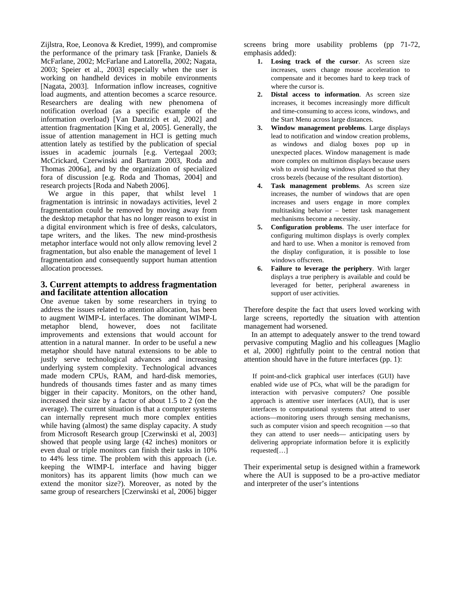Zijlstra, Roe, Leonova & Krediet, 1999), and compromise the performance of the primary task [Franke, Daniels & McFarlane, 2002; McFarlane and Latorella, 2002; Nagata, 2003; Speier et al., 2003] especially when the user is working on handheld devices in mobile environments [Nagata, 2003]. Information inflow increases, cognitive load augments, and attention becomes a scarce resource. Researchers are dealing with new phenomena of notification overload (as a specific example of the information overload) [Van Dantzich et al, 2002] and attention fragmentation [King et al, 2005]. Generally, the issue of attention management in HCI is getting much attention lately as testified by the publication of special issues in academic journals [e.g. Vertegaal 2003; McCrickard, Czerwinski and Bartram 2003, Roda and Thomas 2006a], and by the organization of specialized fora of discussion [e.g. Roda and Thomas, 2004] and research projects [Roda and Nabeth 2006].

 We argue in this paper, that whilst level 1 fragmentation is intrinsic in nowadays activities, level 2 fragmentation could be removed by moving away from the desktop metaphor that has no longer reason to exist in a digital environment which is free of desks, calculators, tape writers, and the likes. The new mind-prosthesis metaphor interface would not only allow removing level 2 fragmentation, but also enable the management of level 1 fragmentation and consequently support human attention allocation processes.

### **3. Current attempts to address fragmentation and facilitate attention allocation**

One avenue taken by some researchers in trying to address the issues related to attention allocation, has been to augment WIMP-L interfaces. The dominant WIMP-L metaphor blend, however, does not facilitate improvements and extensions that would account for attention in a natural manner. In order to be useful a new metaphor should have natural extensions to be able to justly serve technological advances and increasing underlying system complexity. Technological advances made modern CPUs, RAM, and hard-disk memories, hundreds of thousands times faster and as many times bigger in their capacity. Monitors, on the other hand, increased their size by a factor of about 1.5 to 2 (on the average). The current situation is that a computer systems can internally represent much more complex entities while having (almost) the same display capacity. A study from Microsoft Research group [Czerwinski et al, 2003] showed that people using large (42 inches) monitors or even dual or triple monitors can finish their tasks in 10% to 44% less time. The problem with this approach (i.e. keeping the WIMP-L interface and having bigger monitors) has its apparent limits (how much can we extend the monitor size?). Moreover, as noted by the same group of researchers [Czerwinski et al, 2006] bigger

screens bring more usability problems (pp 71-72, emphasis added):

- **1. Losing track of the cursor**. As screen size increases, users change mouse acceleration to compensate and it becomes hard to keep track of where the cursor is.
- **2. Distal access to information**. As screen size increases, it becomes increasingly more difficult and time-consuming to access icons, windows, and the Start Menu across large distances.
- **3. Window management problems**. Large displays lead to notification and window creation problems, as windows and dialog boxes pop up in unexpected places. Window management is made more complex on multimon displays because users wish to avoid having windows placed so that they cross bezels (because of the resultant distortion).
- **4. Task management problems**. As screen size increases, the number of windows that are open increases and users engage in more complex multitasking behavior – better task management mechanisms become a necessity.
- **5. Configuration problems**. The user interface for configuring multimon displays is overly complex and hard to use. When a monitor is removed from the display configuration, it is possible to lose windows offscreen.
- **6. Failure to leverage the periphery**. With larger displays a true periphery is available and could be leveraged for better, peripheral awareness in support of user activities.

Therefore despite the fact that users loved working with large screens, reportedly the situation with attention management had worsened.

In an attempt to adequately answer to the trend toward pervasive computing Maglio and his colleagues [Maglio et al, 2000] rightfully point to the central notion that attention should have in the future interfaces (pp. 1):

If point-and-click graphical user interfaces (GUI) have enabled wide use of PCs, what will be the paradigm for interaction with pervasive computers? One possible approach is attentive user interfaces (AUI), that is user interfaces to computational systems that attend to user actions—monitoring users through sensing mechanisms, such as computer vision and speech recognition —so that they can attend to user needs— anticipating users by delivering appropriate information before it is explicitly requested[…]

Their experimental setup is designed within a framework where the AUI is supposed to be a pro-active mediator and interpreter of the user's intentions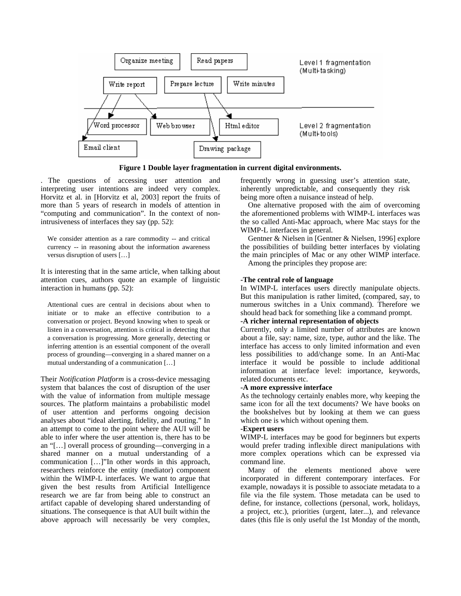

**Figure 1 Double layer fragmentation in current digital environments.** 

. The questions of accessing user attention and interpreting user intentions are indeed very complex. Horvitz et al. in [Horvitz et al, 2003] report the fruits of more than 5 years of research in models of attention in "computing and communication". In the context of nonintrusiveness of interfaces they say (pp. 52):

We consider attention as a rare commodity -- and critical currency -- in reasoning about the information awareness versus disruption of users […]

It is interesting that in the same article, when talking about attention cues, authors quote an example of linguistic interaction in humans (pp. 52):

Attentional cues are central in decisions about when to initiate or to make an effective contribution to a conversation or project. Beyond knowing when to speak or listen in a conversation, attention is critical in detecting that a conversation is progressing. More generally, detecting or inferring attention is an essential component of the overall process of grounding—converging in a shared manner on a mutual understanding of a communication […]

Their *Notification Platform* is a cross-device messaging system that balances the cost of disruption of the user with the value of information from multiple message sources. The platform maintains a probabilistic model of user attention and performs ongoing decision analyses about "ideal alerting, fidelity, and routing." In an attempt to come to the point where the AUI will be able to infer where the user attention is, there has to be an "[…] overall process of grounding—converging in a shared manner on a mutual understanding of a communication […]"In other words in this approach, researchers reinforce the entity (mediator) component within the WIMP-L interfaces. We want to argue that given the best results from Artificial Intelligence research we are far from being able to construct an artifact capable of developing shared understanding of situations. The consequence is that AUI built within the above approach will necessarily be very complex,

frequently wrong in guessing user's attention state, inherently unpredictable, and consequently they risk being more often a nuisance instead of help.

One alternative proposed with the aim of overcoming the aforementioned problems with WIMP-L interfaces was the so called Anti-Mac approach, where Mac stays for the WIMP-L interfaces in general.

Gentner & Nielsen in [Gentner & Nielsen, 1996] explore the possibilities of building better interfaces by violating the main principles of Mac or any other WIMP interface.

Among the principles they propose are:

# **-The central role of language**

In WIMP-L interfaces users directly manipulate objects. But this manipulation is rather limited, (compared, say, to numerous switches in a Unix command). Therefore we should head back for something like a command prompt.

# **-A richer internal representation of objects**

Currently, only a limited number of attributes are known about a file, say: name, size, type, author and the like. The interface has access to only limited information and even less possibilities to add/change some. In an Anti-Mac interface it would be possible to include additional information at interface level: importance, keywords, related documents etc.

### **-A more expressive interface**

As the technology certainly enables more, why keeping the same icon for all the text documents? We have books on the bookshelves but by looking at them we can guess which one is which without opening them.

### **-Expert users**

WIMP-L interfaces may be good for beginners but experts would prefer trading inflexible direct manipulations with more complex operations which can be expressed via command line.

Many of the elements mentioned above were incorporated in different contemporary interfaces. For example, nowadays it is possible to associate metadata to a file via the file system. Those metadata can be used to define, for instance, collections (personal, work, holidays, a project, etc.), priorities (urgent, later...), and relevance dates (this file is only useful the 1st Monday of the month,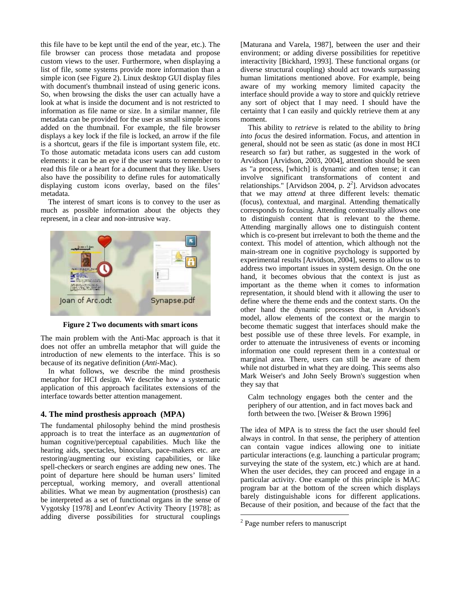this file have to be kept until the end of the year, etc.). The file browser can process those metadata and propose custom views to the user. Furthermore, when displaying a list of file, some systems provide more information than a simple icon (see Figure 2). Linux desktop GUI display files with document's thumbnail instead of using generic icons. So, when browsing the disks the user can actually have a look at what is inside the document and is not restricted to information as file name or size. In a similar manner, file metadata can be provided for the user as small simple icons added on the thumbnail. For example, the file browser displays a key lock if the file is locked, an arrow if the file is a shortcut, gears if the file is important system file, etc. To those automatic metadata icons users can add custom elements: it can be an eye if the user wants to remember to read this file or a heart for a document that they like. Users also have the possibility to define rules for automatically displaying custom icons overlay, based on the files' metadata.

The interest of smart icons is to convey to the user as much as possible information about the objects they represent, in a clear and non-intrusive way.



**Figure 2 Two documents with smart icons**

The main problem with the Anti-Mac approach is that it does not offer an umbrella metaphor that will guide the introduction of new elements to the interface. This is so because of its negative definition (*Anti*-Mac).

In what follows, we describe the mind prosthesis metaphor for HCI design. We describe how a systematic application of this approach facilitates extensions of the interface towards better attention management.

### **4. The mind prosthesis approach (MPA)**

The fundamental philosophy behind the mind prosthesis approach is to treat the interface as an *augmentation* of human cognitive/perceptual capabilities. Much like the hearing aids, spectacles, binoculars, pace-makers etc. are restoring/augmenting our existing capabilities, or like spell-checkers or search engines are adding new ones. The point of departure here should be human users' limited perceptual, working memory, and overall attentional abilities. What we mean by augmentation (prosthesis) can be interpreted as a set of functional organs in the sense of Vygotsky [1978] and Leont'ev Activity Theory [1978]; as adding diverse possibilities for structural couplings

[Maturana and Varela, 1987], between the user and their environment; or adding diverse possibilities for repetitive interactivity [Bickhard, 1993]. These functional organs (or diverse structural coupling) should act towards surpassing human limitations mentioned above. For example, being aware of my working memory limited capacity the interface should provide a way to store and quickly retrieve any sort of object that I may need. I should have the certainty that I can easily and quickly retrieve them at any moment.

This ability to *retrieve* is related to the ability to *bring into focus* the desired information. Focus, and attention in general, should not be seen as static (as done in most HCI research so far) but rather, as suggested in the work of Arvidson [Arvidson, 2003, 2004], attention should be seen as "a process, [which] is dynamic and often tense; it can involve significant transformations of content and relationships." [Arvidson [2](#page-4-0)004, p.  $2^2$ ]. Arvidson advocates that we may *attend* at three different levels: thematic (focus), contextual, and marginal. Attending thematically corresponds to focusing. Attending contextually allows one to distinguish content that is relevant to the theme. Attending marginally allows one to distinguish content which is co-present but irrelevant to both the theme and the context. This model of attention, which although not the main-stream one in cognitive psychology is supported by experimental results [Arvidson, 2004], seems to allow us to address two important issues in system design. On the one hand, it becomes obvious that the context is just as important as the theme when it comes to information representation, it should blend with it allowing the user to define where the theme ends and the context starts. On the other hand the dynamic processes that, in Arvidson's model, allow elements of the context or the margin to become thematic suggest that interfaces should make the best possible use of these three levels. For example, in order to attenuate the intrusiveness of events or incoming information one could represent them in a contextual or marginal area. There, users can still be aware of them while not disturbed in what they are doing. This seems also Mark Weiser's and John Seely Brown's suggestion when they say that

Calm technology engages both the center and the periphery of our attention, and in fact moves back and forth between the two. [Weiser & Brown 1996]

The idea of MPA is to stress the fact the user should feel always in control. In that sense, the periphery of attention can contain vague indices allowing one to initiate particular interactions (e.g. launching a particular program; surveying the state of the system, etc.) which are at hand. When the user decides, they can proceed and engage in a particular activity. One example of this principle is MAC program bar at the bottom of the screen which displays barely distinguishable icons for different applications. Because of their position, and because of the fact that the

 $\overline{a}$ 

<span id="page-4-0"></span><sup>&</sup>lt;sup>2</sup> Page number refers to manuscript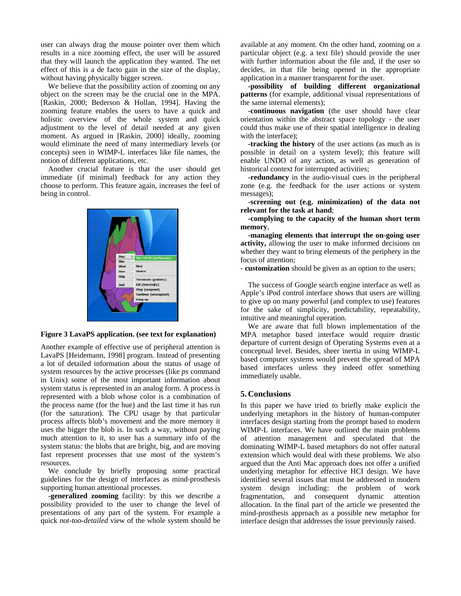user can always drag the mouse pointer over them which results in a nice zooming effect, the user will be assured that they will launch the application they wanted. The net effect of this is a de facto gain in the size of the display, without having physically bigger screen.

We believe that the possibility action of zooming on any object on the screen may be the crucial one in the MPA. [Raskin, 2000; Bederson & Hollan, 1994]. Having the zooming feature enables the users to have a quick and holistic overview of the whole system and quick adjustment to the level of detail needed at any given moment. As argued in [Raskin, 2000] ideally, zooming would eliminate the need of many intermediary levels (or concepts) seen in WIMP-L interfaces like file names, the notion of different applications, etc.

Another crucial feature is that the user should get immediate (if minimal) feedback for any action they choose to perform. This feature again, increases the feel of being in control.



#### **Figure 3 LavaPS application. (see text for explanation)**

Another example of effective use of peripheral attention is LavaPS [Heidemann, 1998] program. Instead of presenting a lot of detailed information about the status of usage of system resources by the active processes (like *ps* command in Unix) some of the most important information about system status is represented in an analog form. A process is represented with a blob whose color is a combination of the process name (for the hue) and the last time it has run (for the saturation). The CPU usage by that particular process affects blob's movement and the more memory it uses the bigger the blob is. In such a way, without paying much attention to it, to user has a summary info of the system status: the blobs that are bright, big, and are moving fast represent processes that use most of the system's resources.

We conclude by briefly proposing some practical guidelines for the design of interfaces as mind-prosthesis supporting human attentional processes.

**-generalized zooming** facility: by this we describe a possibility provided to the user to change the level of presentations of any part of the system. For example a quick *not-too-detailed* view of the whole system should be

available at any moment. On the other hand, zooming on a particular object (e.g. a text file) should provide the user with further information about the file and, if the user so decides, in that file being opened in the appropriate application in a manner transparent for the user.

**-possibility of building different organizational patterns** (for example, additional visual representations of the same internal elements);

 **-continuous navigation** (the user should have clear orientation within the abstract space topology - the user could thus make use of their spatial intelligence in dealing with the interface);

**-tracking the history** of the user actions (as much as is possible in detail on a system level); this feature will enable UNDO of any action, as well as generation of historical context for interrupted activities;

**-redundancy** in the audio-visual cues in the peripheral zone (e.g. the feedback for the user actions or system messages);

**-screening out (e.g. minimization) of the data not relevant for the task at hand**;

**-complying to the capacity of the human short term memory**,

**-managing elements that interrupt the on-going user activity,** allowing the user to make informed decisions on whether they want to bring elements of the periphery in the focus of attention;

- **customization** should be given as an option to the users;

The success of Google search engine interface as well as Apple's iPod control interface shows that users are willing to give up on many powerful (and complex to use) features for the sake of simplicity, predictability, repeatability, intuitive and meaningful operation.

We are aware that full blown implementation of the MPA metaphor based interface would require drastic departure of current design of Operating Systems even at a conceptual level. Besides, sheer inertia in using WIMP-L based computer systems would prevent the spread of MPA based interfaces unless they indeed offer something immediately usable.

### **5. Conclusions**

In this paper we have tried to briefly make explicit the underlying metaphors in the history of human-computer interfaces design starting from the prompt based to modern WIMP-L interfaces. We have outlined the main problems of attention management and speculated that the dominating WIMP-L based metaphors do not offer natural extension which would deal with these problems. We also argued that the Anti Mac approach does not offer a unified underlying metaphor for effective HCI design. We have identified several issues that must be addressed in modern system design including: the problem of work fragmentation, and consequent dynamic attention allocation. In the final part of the article we presented the mind-prosthesis approach as a possible new metaphor for interface design that addresses the issue previously raised.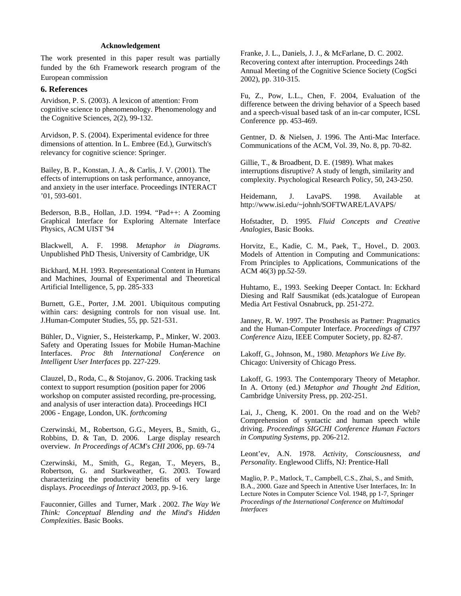### **Acknowledgement**

The work presented in this paper result was partially funded by the 6th Framework research program of the European commission

#### **6. References**

Arvidson, P. S. (2003). A lexicon of attention: From cognitive science to phenomenology. Phenomenology and the Cognitive Sciences, 2(2), 99-132.

Arvidson, P. S. (2004). Experimental evidence for three dimensions of attention. In L. Embree (Ed.), Gurwitsch's relevancy for cognitive science: Springer.

Bailey, B. P., Konstan, J. A., & Carlis, J. V. (2001). The effects of interruptions on task performance, annoyance, and anxiety in the user interface. Proceedings INTERACT '01, 593-601.

Bederson, B.B., Hollan, J.D. 1994. "Pad++: A Zooming Graphical Interface for Exploring Alternate Interface Physics, ACM UIST '94

Blackwell, A. F. 1998. *Metaphor in Diagrams*. Unpublished PhD Thesis, University of Cambridge, UK

Bickhard, M.H. 1993. Representational Content in Humans and Machines, Journal of Experimental and Theoretical Artificial Intelligence, 5, pp. 285-333

Burnett, G.E., Porter, J.M. 2001. Ubiquitous computing within cars: designing controls for non visual use. Int. J.Human-Computer Studies, 55, pp. 521-531.

Bühler, D., Vignier, S., Heisterkamp, P., Minker, W. 2003. Safety and Operating Issues for Mobile Human-Machine Interfaces. *Proc 8th International Conference on Intelligent User Interfaces* pp. 227-229.

Clauzel, D., Roda, C., & Stojanov, G. 2006. Tracking task context to support resumption (position paper for 2006 workshop on computer assisted recording, pre-processing, and analysis of user interaction data). Proceedings HCI 2006 - Engage, London, UK. *forthcoming*

Czerwinski, M., Robertson, G.G., Meyers, B., Smith, G., Robbins, D. & Tan, D. 2006. Large display research overview. *In Proceedings of ACM's CHI 2006,* pp. 69-74

Czerwinski, M., Smith, G., Regan, T., Meyers, B., Robertson, G. and Starkweather, G. 2003. Toward characterizing the productivity benefits of very large displays. *Proceedings of Interact 2003*, pp. 9-16.

Fauconnier, Gilles and Turner, Mark . 2002. *The Way We Think: Conceptual Blending and the Mind's Hidden Complexities*. Basic Books.

Franke, J. L., Daniels, J. J., & McFarlane, D. C. 2002. Recovering context after interruption. Proceedings 24th Annual Meeting of the Cognitive Science Society (CogSci 2002), pp. 310-315.

Fu, Z., Pow, L.L., Chen, F. 2004, Evaluation of the difference between the driving behavior of a Speech based and a speech-visual based task of an in-car computer, ICSL Conference pp. 453-469.

Gentner, D. & Nielsen, J. 1996. The Anti-Mac Interface. Communications of the ACM, Vol. 39, No. 8, pp. 70-82.

Gillie, T., & Broadbent, D. E. (1989). What makes interruptions disruptive? A study of length, similarity and complexity. Psychological Research Policy, 50, 243-250.

Heidemann, J. LavaPS. 1998. Available at http://www.isi.edu/~johnh/SOFTWARE/LAVAPS/

Hofstadter, D. 1995. *Fluid Concepts and Creative Analogies*, Basic Books.

Horvitz, E., Kadie, C. M., Paek, T., Hovel., D. 2003. Models of Attention in Computing and Communications: From Principles to Applications, Communications of the ACM 46(3) pp.52-59.

Huhtamo, E., 1993. Seeking Deeper Contact. In: Eckhard Diesing and Ralf Sausmikat (eds.)catalogue of European Media Art Festival Osnabruck, pp. 251-272.

Janney, R. W. 1997. The Prosthesis as Partner: Pragmatics and the Human-Computer Interface. *Proceedings of CT97 Conference* Aizu, IEEE Computer Society, pp. 82-87.

Lakoff, G., Johnson, M., 1980. *Metaphors We Live By.*  Chicago: University of Chicago Press.

Lakoff, G. 1993. The Contemporary Theory of Metaphor. In A. Ortony (ed.) *Metaphor and Thought 2nd Edition*, Cambridge University Press, pp. 202-251.

Lai, J., Cheng, K. 2001. On the road and on the Web? Comprehension of syntactic and human speech while driving. *Proceedings SIGCHI Conference Human Factors in Computing Systems*, pp. 206-212.

Leont'ev, A.N. 1978. *Activity, Consciousness, and Personality*. Englewood Cliffs, NJ: Prentice-Hall

Maglio, P. P., Matlock, T., Campbell, C.S., Zhai, S., and Smith, B.A., 2000. Gaze and Speech in Attentive User Interfaces, In: In Lecture Notes in Computer Science Vol. 1948, pp 1-7, Springer *Proceedings of the International Conference on Multimodal Interfaces*